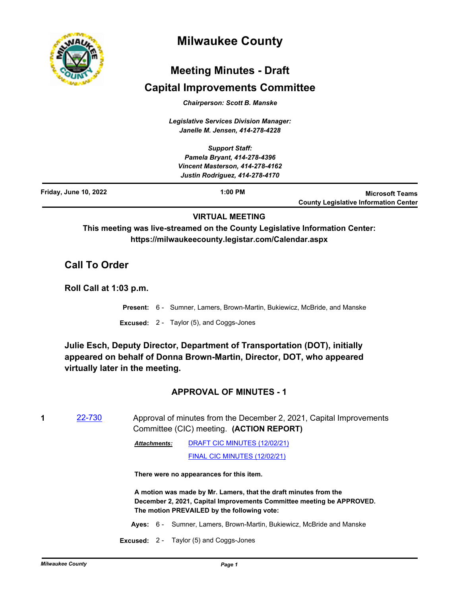

# **Milwaukee County**

# **Meeting Minutes - Draft**

## **Capital Improvements Committee**

*Chairperson: Scott B. Manske*

*Legislative Services Division Manager: Janelle M. Jensen, 414-278-4228*

*Support Staff: Pamela Bryant, 414-278-4396 Vincent Masterson, 414-278-4162 Justin Rodriguez, 414-278-4170* **1:00 PM Microsoft Teams County Legislative Information Center Friday, June 10, 2022**

## **VIRTUAL MEETING**

**This meeting was live-streamed on the County Legislative Information Center: https://milwaukeecounty.legistar.com/Calendar.aspx**

## **Call To Order**

**Roll Call at 1:03 p.m.**

- **Present:** 6 Sumner, Lamers, Brown-Martin, Bukiewicz, McBride, and Manske
- **Excused:** 2 Taylor (5), and Coggs-Jones

**Julie Esch, Deputy Director, Department of Transportation (DOT), initially appeared on behalf of Donna Brown-Martin, Director, DOT, who appeared virtually later in the meeting.**

## **APPROVAL OF MINUTES - 1**

**1** [22-730](http://milwaukeecounty.legistar.com/gateway.aspx?m=l&id=/matter.aspx?key=12431) Approval of minutes from the December 2, 2021, Capital Improvements Committee (CIC) meeting. **(ACTION REPORT)**

> [DRAFT CIC MINUTES \(12/02/21\)](http://MilwaukeeCounty.legistar.com/gateway.aspx?M=F&ID=05e7551e-9112-4645-a822-3a1e987a3372.pdf) *Attachments:*

> > [FINAL CIC MINUTES \(12/02/21\)](http://MilwaukeeCounty.legistar.com/gateway.aspx?M=F&ID=59d3ec45-e165-4ef2-b788-a3a427093ff4.pdf)

**There were no appearances for this item.**

**A motion was made by Mr. Lamers, that the draft minutes from the December 2, 2021, Capital Improvements Committee meeting be APPROVED. The motion PREVAILED by the following vote:**

- **Ayes:** 6 Sumner, Lamers, Brown-Martin, Bukiewicz, McBride and Manske
- **Excused:** 2 Taylor (5) and Coggs-Jones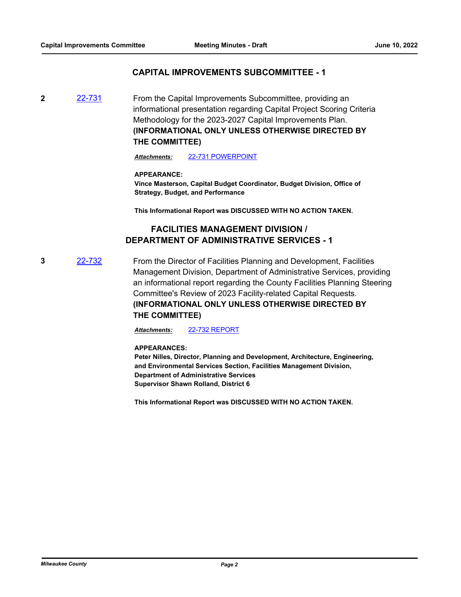#### **CAPITAL IMPROVEMENTS SUBCOMMITTEE - 1**

**2** [22-731](http://milwaukeecounty.legistar.com/gateway.aspx?m=l&id=/matter.aspx?key=12432) From the Capital Improvements Subcommittee, providing an informational presentation regarding Capital Project Scoring Criteria Methodology for the 2023-2027 Capital Improvements Plan. **(INFORMATIONAL ONLY UNLESS OTHERWISE DIRECTED BY THE COMMITTEE)**

*Attachments:* [22-731 POWERPOINT](http://MilwaukeeCounty.legistar.com/gateway.aspx?M=F&ID=edb91841-948e-46b6-ad12-6f9178bd01fb.pptx)

#### **APPEARANCE:**

**Vince Masterson, Capital Budget Coordinator, Budget Division, Office of Strategy, Budget, and Performance**

**This Informational Report was DISCUSSED WITH NO ACTION TAKEN.**

## **FACILITIES MANAGEMENT DIVISION / DEPARTMENT OF ADMINISTRATIVE SERVICES - 1**

**3** [22-732](http://milwaukeecounty.legistar.com/gateway.aspx?m=l&id=/matter.aspx?key=12433) From the Director of Facilities Planning and Development, Facilities Management Division, Department of Administrative Services, providing an informational report regarding the County Facilities Planning Steering Committee's Review of 2023 Facility-related Capital Requests. **(INFORMATIONAL ONLY UNLESS OTHERWISE DIRECTED BY THE COMMITTEE)**

*Attachments:* [22-732 REPORT](http://MilwaukeeCounty.legistar.com/gateway.aspx?M=F&ID=4a5e78c7-e9ed-4135-8686-d1d9b3f1fbe0.pdf)

**APPEARANCES:**

**Peter Nilles, Director, Planning and Development, Architecture, Engineering, and Environmental Services Section, Facilities Management Division, Department of Administrative Services Supervisor Shawn Rolland, District 6**

**This Informational Report was DISCUSSED WITH NO ACTION TAKEN.**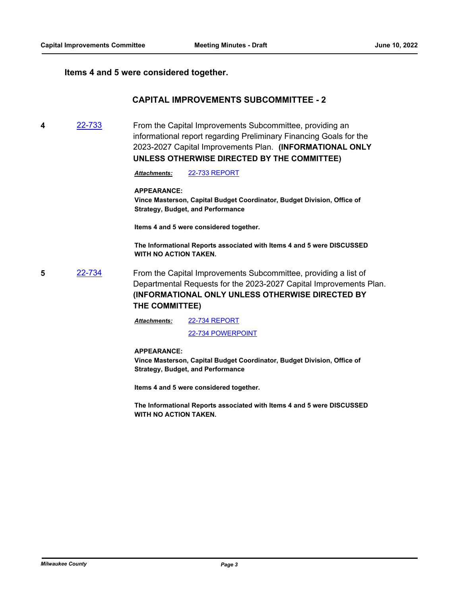#### **Items 4 and 5 were considered together.**

## **CAPITAL IMPROVEMENTS SUBCOMMITTEE - 2**

**4** [22-733](http://milwaukeecounty.legistar.com/gateway.aspx?m=l&id=/matter.aspx?key=12434) From the Capital Improvements Subcommittee, providing an informational report regarding Preliminary Financing Goals for the 2023-2027 Capital Improvements Plan. **(INFORMATIONAL ONLY UNLESS OTHERWISE DIRECTED BY THE COMMITTEE)**

*Attachments:* [22-733 REPORT](http://MilwaukeeCounty.legistar.com/gateway.aspx?M=F&ID=e520c03f-5493-4a07-ae11-56d7e2054848.pdf)

#### **APPEARANCE:**

**Vince Masterson, Capital Budget Coordinator, Budget Division, Office of Strategy, Budget, and Performance**

**Items 4 and 5 were considered together.**

**The Informational Reports associated with Items 4 and 5 were DISCUSSED WITH NO ACTION TAKEN.**

**5** [22-734](http://milwaukeecounty.legistar.com/gateway.aspx?m=l&id=/matter.aspx?key=12435) From the Capital Improvements Subcommittee, providing a list of Departmental Requests for the 2023-2027 Capital Improvements Plan. **(INFORMATIONAL ONLY UNLESS OTHERWISE DIRECTED BY THE COMMITTEE)**

> [22-734 REPORT](http://MilwaukeeCounty.legistar.com/gateway.aspx?M=F&ID=76f98a88-f91e-489e-ad7d-3008101469f4.pdf) [22-734 POWERPOINT](http://MilwaukeeCounty.legistar.com/gateway.aspx?M=F&ID=4ab05dc2-1f97-4186-8576-3627bc926f22.pptx) *Attachments:*

#### **APPEARANCE:**

**Vince Masterson, Capital Budget Coordinator, Budget Division, Office of Strategy, Budget, and Performance**

**Items 4 and 5 were considered together.**

**The Informational Reports associated with Items 4 and 5 were DISCUSSED WITH NO ACTION TAKEN.**